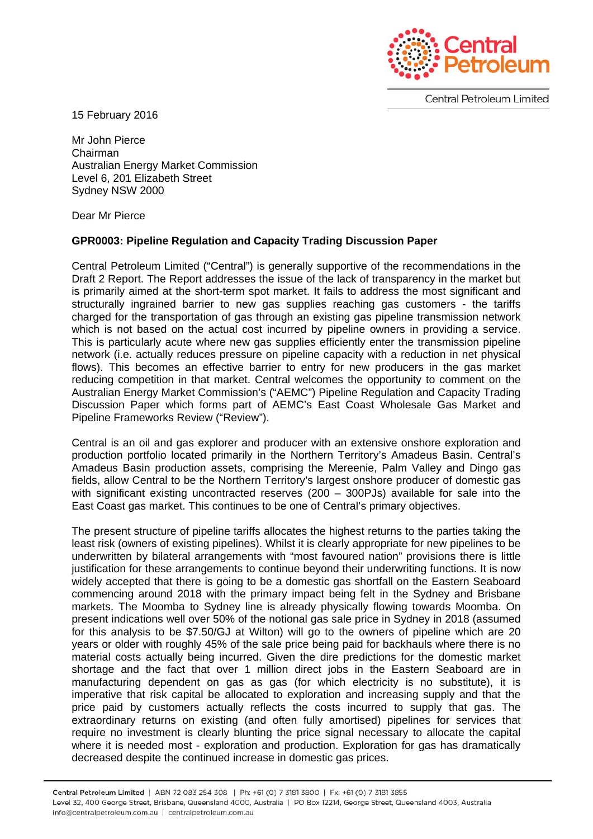

**Central Petroleum Limited** 

15 February 2016

Mr John Pierce Chairman Australian Energy Market Commission Level 6, 201 Elizabeth Street Sydney NSW 2000

Dear Mr Pierce

## **GPR0003: Pipeline Regulation and Capacity Trading Discussion Paper**

Central Petroleum Limited ("Central") is generally supportive of the recommendations in the Draft 2 Report. The Report addresses the issue of the lack of transparency in the market but is primarily aimed at the short-term spot market. It fails to address the most significant and structurally ingrained barrier to new gas supplies reaching gas customers - the tariffs charged for the transportation of gas through an existing gas pipeline transmission network which is not based on the actual cost incurred by pipeline owners in providing a service. This is particularly acute where new gas supplies efficiently enter the transmission pipeline network (i.e. actually reduces pressure on pipeline capacity with a reduction in net physical flows). This becomes an effective barrier to entry for new producers in the gas market reducing competition in that market. Central welcomes the opportunity to comment on the Australian Energy Market Commission's ("AEMC") Pipeline Regulation and Capacity Trading Discussion Paper which forms part of AEMC's East Coast Wholesale Gas Market and Pipeline Frameworks Review ("Review").

Central is an oil and gas explorer and producer with an extensive onshore exploration and production portfolio located primarily in the Northern Territory's Amadeus Basin. Central's Amadeus Basin production assets, comprising the Mereenie, Palm Valley and Dingo gas fields, allow Central to be the Northern Territory's largest onshore producer of domestic gas with significant existing uncontracted reserves (200 – 300PJs) available for sale into the East Coast gas market. This continues to be one of Central's primary objectives.

The present structure of pipeline tariffs allocates the highest returns to the parties taking the least risk (owners of existing pipelines). Whilst it is clearly appropriate for new pipelines to be underwritten by bilateral arrangements with "most favoured nation" provisions there is little justification for these arrangements to continue beyond their underwriting functions. It is now widely accepted that there is going to be a domestic gas shortfall on the Eastern Seaboard commencing around 2018 with the primary impact being felt in the Sydney and Brisbane markets. The Moomba to Sydney line is already physically flowing towards Moomba. On present indications well over 50% of the notional gas sale price in Sydney in 2018 (assumed for this analysis to be \$7.50/GJ at Wilton) will go to the owners of pipeline which are 20 years or older with roughly 45% of the sale price being paid for backhauls where there is no material costs actually being incurred. Given the dire predictions for the domestic market shortage and the fact that over 1 million direct jobs in the Eastern Seaboard are in manufacturing dependent on gas as gas (for which electricity is no substitute), it is imperative that risk capital be allocated to exploration and increasing supply and that the price paid by customers actually reflects the costs incurred to supply that gas. The extraordinary returns on existing (and often fully amortised) pipelines for services that require no investment is clearly blunting the price signal necessary to allocate the capital where it is needed most - exploration and production. Exploration for gas has dramatically decreased despite the continued increase in domestic gas prices.